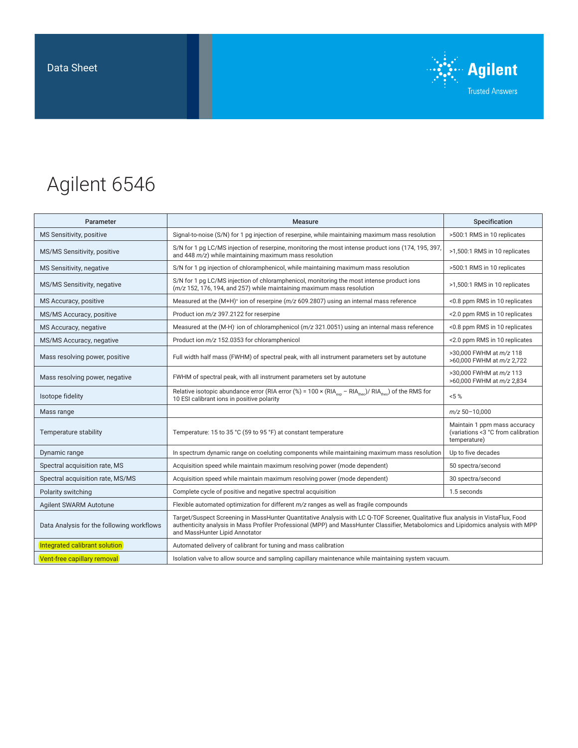

## Agilent 6546

| Parameter                                 | <b>Measure</b>                                                                                                                                                                                                                                                                                            | Specification                                                                      |
|-------------------------------------------|-----------------------------------------------------------------------------------------------------------------------------------------------------------------------------------------------------------------------------------------------------------------------------------------------------------|------------------------------------------------------------------------------------|
| MS Sensitivity, positive                  | Signal-to-noise (S/N) for 1 pg injection of reserpine, while maintaining maximum mass resolution                                                                                                                                                                                                          | >500:1 RMS in 10 replicates                                                        |
| MS/MS Sensitivity, positive               | S/N for 1 pg LC/MS injection of reserpine, monitoring the most intense product ions (174, 195, 397,<br>and 448 m/z) while maintaining maximum mass resolution                                                                                                                                             | >1,500:1 RMS in 10 replicates                                                      |
| MS Sensitivity, negative                  | S/N for 1 pq injection of chloramphenicol, while maintaining maximum mass resolution                                                                                                                                                                                                                      | >500:1 RMS in 10 replicates                                                        |
| MS/MS Sensitivity, negative               | S/N for 1 pg LC/MS injection of chloramphenicol, monitoring the most intense product ions<br>$(m/z 152, 176, 194,$ and 257) while maintaining maximum mass resolution                                                                                                                                     | >1,500:1 RMS in 10 replicates                                                      |
| MS Accuracy, positive                     | Measured at the $(M+H)$ <sup>+</sup> ion of reserpine ( $m/z$ 609.2807) using an internal mass reference                                                                                                                                                                                                  | <0.8 ppm RMS in 10 replicates                                                      |
| MS/MS Accuracy, positive                  | Product ion m/z 397.2122 for reserpine                                                                                                                                                                                                                                                                    | <2.0 ppm RMS in 10 replicates                                                      |
| MS Accuracy, negative                     | Measured at the (M-H) ion of chloramphenicol $(m/z 321.0051)$ using an internal mass reference                                                                                                                                                                                                            | <0.8 ppm RMS in 10 replicates                                                      |
| MS/MS Accuracy, negative                  | Product ion m/z 152.0353 for chloramphenicol                                                                                                                                                                                                                                                              | <2.0 ppm RMS in 10 replicates                                                      |
| Mass resolving power, positive            | Full width half mass (FWHM) of spectral peak, with all instrument parameters set by autotune                                                                                                                                                                                                              | >30.000 FWHM at m/z 118<br>>60,000 FWHM at m/z 2,722                               |
| Mass resolving power, negative            | FWHM of spectral peak, with all instrument parameters set by autotune                                                                                                                                                                                                                                     | >30,000 FWHM at <i>m/z</i> 113<br>>60.000 FWHM at m/z 2.834                        |
| Isotope fidelity                          | Relative isotopic abundance error (RIA error (%) = 100 × (RIA <sub>exp</sub> – RIA <sub>theo</sub> )/ RIA <sub>theo</sub> ) of the RMS for<br>10 ESI calibrant ions in positive polarity                                                                                                                  | $< 5 \%$                                                                           |
| Mass range                                |                                                                                                                                                                                                                                                                                                           | $m/z$ 50-10,000                                                                    |
| Temperature stability                     | Temperature: 15 to 35 °C (59 to 95 °F) at constant temperature                                                                                                                                                                                                                                            | Maintain 1 ppm mass accuracy<br>(variations <3 °C from calibration<br>temperature) |
| Dynamic range                             | In spectrum dynamic range on coeluting components while maintaining maximum mass resolution                                                                                                                                                                                                               | Up to five decades                                                                 |
| Spectral acquisition rate, MS             | Acquisition speed while maintain maximum resolving power (mode dependent)                                                                                                                                                                                                                                 | 50 spectra/second                                                                  |
| Spectral acquisition rate, MS/MS          | Acquisition speed while maintain maximum resolving power (mode dependent)                                                                                                                                                                                                                                 | 30 spectra/second                                                                  |
| Polarity switching                        | Complete cycle of positive and negative spectral acquisition                                                                                                                                                                                                                                              | 1.5 seconds                                                                        |
| <b>Agilent SWARM Autotune</b>             | Flexible automated optimization for different m/z ranges as well as fragile compounds                                                                                                                                                                                                                     |                                                                                    |
| Data Analysis for the following workflows | Target/Suspect Screening in MassHunter Quantitative Analysis with LC Q-TOF Screener, Qualitative flux analysis in VistaFlux, Food<br>authenticity analysis in Mass Profiler Professional (MPP) and MassHunter Classifier, Metabolomics and Lipidomics analysis with MPP<br>and MassHunter Lipid Annotator |                                                                                    |
| Integrated calibrant solution             | Automated delivery of calibrant for tuning and mass calibration                                                                                                                                                                                                                                           |                                                                                    |
| Vent-free capillary removal               | Isolation valve to allow source and sampling capillary maintenance while maintaining system vacuum.                                                                                                                                                                                                       |                                                                                    |